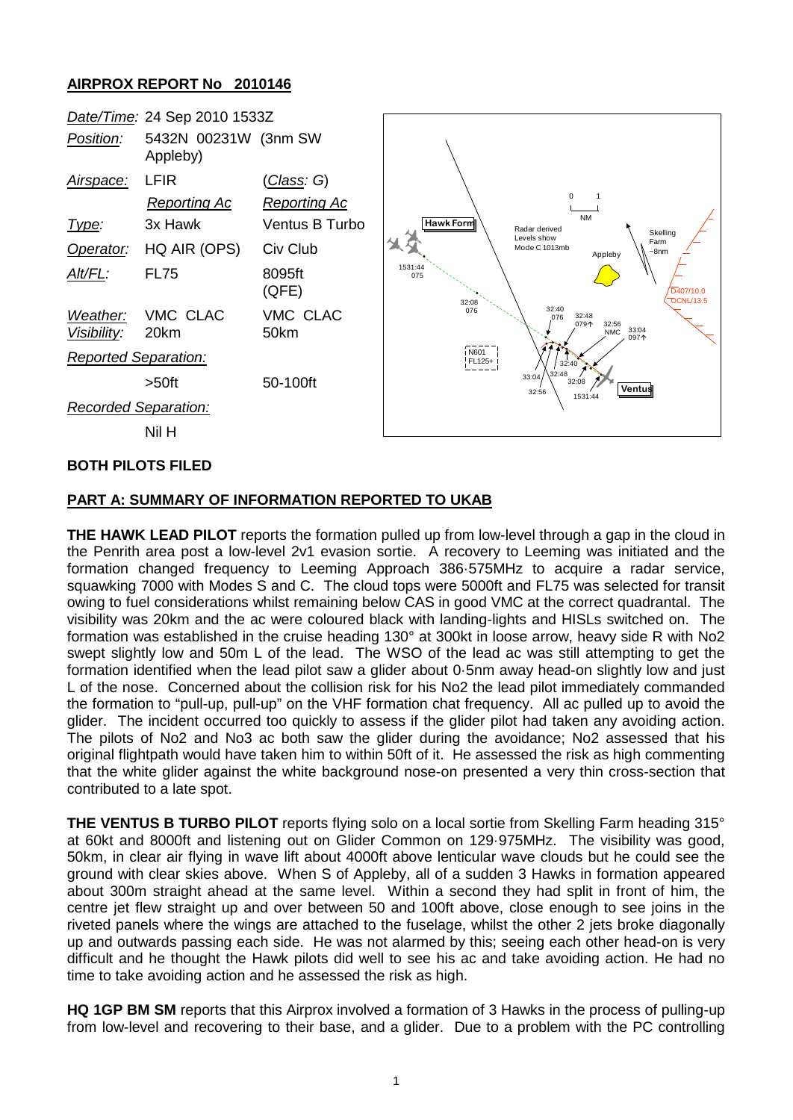# **AIRPROX REPORT No 2010146**



### **BOTH PILOTS FILED**

#### **PART A: SUMMARY OF INFORMATION REPORTED TO UKAB**

**THE HAWK LEAD PILOT** reports the formation pulled up from low-level through a gap in the cloud in the Penrith area post a low-level 2v1 evasion sortie. A recovery to Leeming was initiated and the formation changed frequency to Leeming Approach 386·575MHz to acquire a radar service, squawking 7000 with Modes S and C. The cloud tops were 5000ft and FL75 was selected for transit owing to fuel considerations whilst remaining below CAS in good VMC at the correct quadrantal. The visibility was 20km and the ac were coloured black with landing-lights and HISLs switched on. The formation was established in the cruise heading 130° at 300kt in loose arrow, heavy side R with No2 swept slightly low and 50m L of the lead. The WSO of the lead ac was still attempting to get the formation identified when the lead pilot saw a glider about 0·5nm away head-on slightly low and just L of the nose. Concerned about the collision risk for his No2 the lead pilot immediately commanded the formation to "pull-up, pull-up" on the VHF formation chat frequency. All ac pulled up to avoid the glider. The incident occurred too quickly to assess if the glider pilot had taken any avoiding action. The pilots of No2 and No3 ac both saw the glider during the avoidance; No2 assessed that his original flightpath would have taken him to within 50ft of it. He assessed the risk as high commenting that the white glider against the white background nose-on presented a very thin cross-section that contributed to a late spot.

**THE VENTUS B TURBO PILOT** reports flying solo on a local sortie from Skelling Farm heading 315° at 60kt and 8000ft and listening out on Glider Common on 129·975MHz. The visibility was good, 50km, in clear air flying in wave lift about 4000ft above lenticular wave clouds but he could see the ground with clear skies above. When S of Appleby, all of a sudden 3 Hawks in formation appeared about 300m straight ahead at the same level. Within a second they had split in front of him, the centre jet flew straight up and over between 50 and 100ft above, close enough to see joins in the riveted panels where the wings are attached to the fuselage, whilst the other 2 jets broke diagonally up and outwards passing each side. He was not alarmed by this; seeing each other head-on is very difficult and he thought the Hawk pilots did well to see his ac and take avoiding action. He had no time to take avoiding action and he assessed the risk as high.

**HQ 1GP BM SM** reports that this Airprox involved a formation of 3 Hawks in the process of pulling-up from low-level and recovering to their base, and a glider. Due to a problem with the PC controlling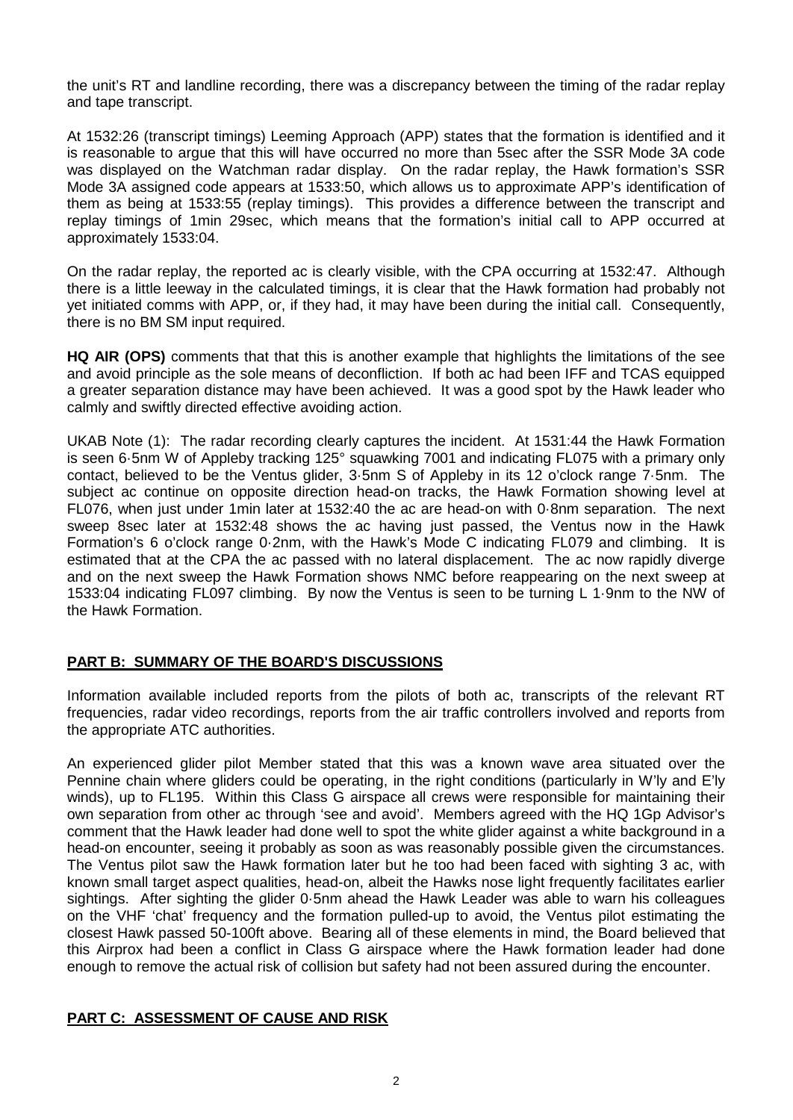the unit's RT and landline recording, there was a discrepancy between the timing of the radar replay and tape transcript.

At 1532:26 (transcript timings) Leeming Approach (APP) states that the formation is identified and it is reasonable to argue that this will have occurred no more than 5sec after the SSR Mode 3A code was displayed on the Watchman radar display. On the radar replay, the Hawk formation's SSR Mode 3A assigned code appears at 1533:50, which allows us to approximate APP's identification of them as being at 1533:55 (replay timings). This provides a difference between the transcript and replay timings of 1min 29sec, which means that the formation's initial call to APP occurred at approximately 1533:04.

On the radar replay, the reported ac is clearly visible, with the CPA occurring at 1532:47. Although there is a little leeway in the calculated timings, it is clear that the Hawk formation had probably not yet initiated comms with APP, or, if they had, it may have been during the initial call. Consequently, there is no BM SM input required.

**HQ AIR (OPS)** comments that that this is another example that highlights the limitations of the see and avoid principle as the sole means of deconfliction. If both ac had been IFF and TCAS equipped a greater separation distance may have been achieved. It was a good spot by the Hawk leader who calmly and swiftly directed effective avoiding action.

UKAB Note (1): The radar recording clearly captures the incident. At 1531:44 the Hawk Formation is seen 6·5nm W of Appleby tracking 125° squawking 7001 and indicating FL075 with a primary only contact, believed to be the Ventus glider, 3·5nm S of Appleby in its 12 o'clock range 7·5nm. The subject ac continue on opposite direction head-on tracks, the Hawk Formation showing level at FL076, when just under 1min later at 1532:40 the ac are head-on with 0·8nm separation. The next sweep 8sec later at 1532:48 shows the ac having just passed, the Ventus now in the Hawk Formation's 6 o'clock range 0·2nm, with the Hawk's Mode C indicating FL079 and climbing. It is estimated that at the CPA the ac passed with no lateral displacement. The ac now rapidly diverge and on the next sweep the Hawk Formation shows NMC before reappearing on the next sweep at 1533:04 indicating FL097 climbing. By now the Ventus is seen to be turning L 1·9nm to the NW of the Hawk Formation.

## **PART B: SUMMARY OF THE BOARD'S DISCUSSIONS**

Information available included reports from the pilots of both ac, transcripts of the relevant RT frequencies, radar video recordings, reports from the air traffic controllers involved and reports from the appropriate ATC authorities.

An experienced glider pilot Member stated that this was a known wave area situated over the Pennine chain where gliders could be operating, in the right conditions (particularly in W'ly and E'ly winds), up to FL195. Within this Class G airspace all crews were responsible for maintaining their own separation from other ac through 'see and avoid'. Members agreed with the HQ 1Gp Advisor's comment that the Hawk leader had done well to spot the white glider against a white background in a head-on encounter, seeing it probably as soon as was reasonably possible given the circumstances. The Ventus pilot saw the Hawk formation later but he too had been faced with sighting 3 ac, with known small target aspect qualities, head-on, albeit the Hawks nose light frequently facilitates earlier sightings. After sighting the glider 0·5nm ahead the Hawk Leader was able to warn his colleagues on the VHF 'chat' frequency and the formation pulled-up to avoid, the Ventus pilot estimating the closest Hawk passed 50-100ft above. Bearing all of these elements in mind, the Board believed that this Airprox had been a conflict in Class G airspace where the Hawk formation leader had done enough to remove the actual risk of collision but safety had not been assured during the encounter.

## **PART C: ASSESSMENT OF CAUSE AND RISK**